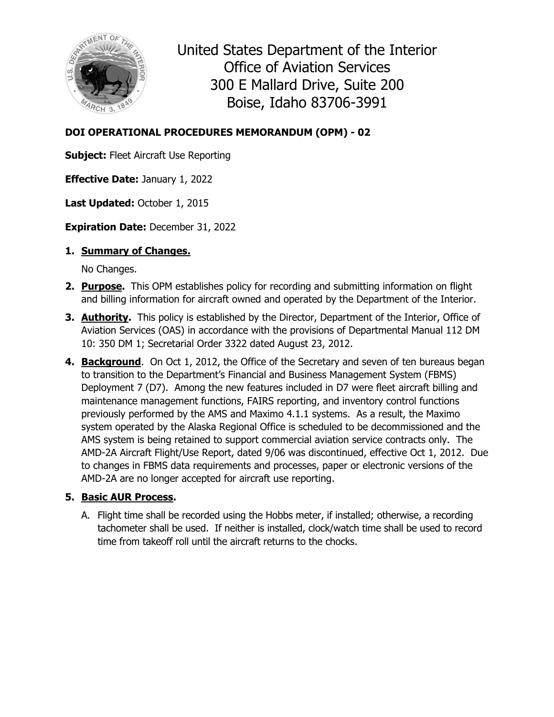

United States Department of the Interior Office of Aviation Services 300 E Mallard Drive, Suite 200 Boise, Idaho 83706-3991

### **DOI OPERATIONAL PROCEDURES MEMORANDUM (OPM) - 02**

**Subject:** Fleet Aircraft Use Reporting

**Effective Date:** January 1, 2022

**Last Updated:** October 1, 2015

**Expiration Date:** December 31, 2022

#### **1. Summary of Changes.**

No Changes.

- **2. Purpose.** This OPM establishes policy for recording and submitting information on flight and billing information for aircraft owned and operated by the Department of the Interior.
- **3. Authority.** This policy is established by the Director, Department of the Interior, Office of Aviation Services (OAS) in accordance with the provisions of Departmental Manual 112 DM 10: 350 DM 1; Secretarial Order 3322 dated August 23, 2012.
- **4. Background**. On Oct 1, 2012, the Office of the Secretary and seven of ten bureaus began to transition to the Department's Financial and Business Management System (FBMS) Deployment 7 (D7). Among the new features included in D7 were fleet aircraft billing and maintenance management functions, FAIRS reporting, and inventory control functions previously performed by the AMS and Maximo 4.1.1 systems. As a result, the Maximo system operated by the Alaska Regional Office is scheduled to be decommissioned and the AMS system is being retained to support commercial aviation service contracts only. The AMD-2A Aircraft Flight/Use Report, dated 9/06 was discontinued, effective Oct 1, 2012. Due to changes in FBMS data requirements and processes, paper or electronic versions of the AMD-2A are no longer accepted for aircraft use reporting.

#### **5. Basic AUR Process.**

A. Flight time shall be recorded using the Hobbs meter, if installed; otherwise, a recording tachometer shall be used. If neither is installed, clock/watch time shall be used to record time from takeoff roll until the aircraft returns to the chocks.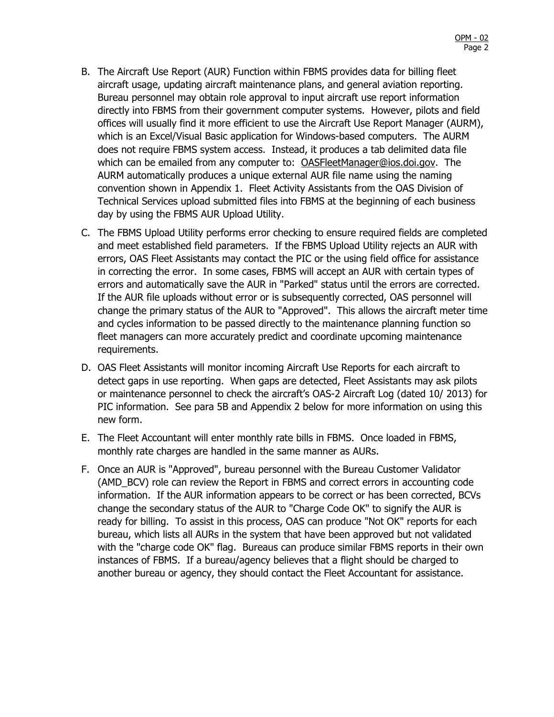- B. The Aircraft Use Report (AUR) Function within FBMS provides data for billing fleet aircraft usage, updating aircraft maintenance plans, and general aviation reporting. Bureau personnel may obtain role approval to input aircraft use report information directly into FBMS from their government computer systems. However, pilots and field offices will usually find it more efficient to use the Aircraft Use Report Manager (AURM), which is an Excel/Visual Basic application for Windows-based computers. The AURM does not require FBMS system access. Instead, it produces a tab delimited data file which can be emailed from any computer to: [OASFleetManager@ios.doi.gov.](mailto:OASFleetManager@ios.doi.gov) The AURM automatically produces a unique external AUR file name using the naming convention shown in Appendix 1. Fleet Activity Assistants from the OAS Division of Technical Services upload submitted files into FBMS at the beginning of each business day by using the FBMS AUR Upload Utility.
- C. The FBMS Upload Utility performs error checking to ensure required fields are completed and meet established field parameters. If the FBMS Upload Utility rejects an AUR with errors, OAS Fleet Assistants may contact the PIC or the using field office for assistance in correcting the error. In some cases, FBMS will accept an AUR with certain types of errors and automatically save the AUR in "Parked" status until the errors are corrected. If the AUR file uploads without error or is subsequently corrected, OAS personnel will change the primary status of the AUR to "Approved". This allows the aircraft meter time and cycles information to be passed directly to the maintenance planning function so fleet managers can more accurately predict and coordinate upcoming maintenance requirements.
- D. OAS Fleet Assistants will monitor incoming Aircraft Use Reports for each aircraft to detect gaps in use reporting. When gaps are detected, Fleet Assistants may ask pilots or maintenance personnel to check the aircraft's OAS-2 Aircraft Log (dated 10/ 2013) for PIC information. See para 5B and Appendix 2 below for more information on using this new form.
- E. The Fleet Accountant will enter monthly rate bills in FBMS. Once loaded in FBMS, monthly rate charges are handled in the same manner as AURs.
- F. Once an AUR is "Approved", bureau personnel with the Bureau Customer Validator (AMD\_BCV) role can review the Report in FBMS and correct errors in accounting code information. If the AUR information appears to be correct or has been corrected, BCVs change the secondary status of the AUR to "Charge Code OK" to signify the AUR is ready for billing. To assist in this process, OAS can produce "Not OK" reports for each bureau, which lists all AURs in the system that have been approved but not validated with the "charge code OK" flag. Bureaus can produce similar FBMS reports in their own instances of FBMS. If a bureau/agency believes that a flight should be charged to another bureau or agency, they should contact the Fleet Accountant for assistance.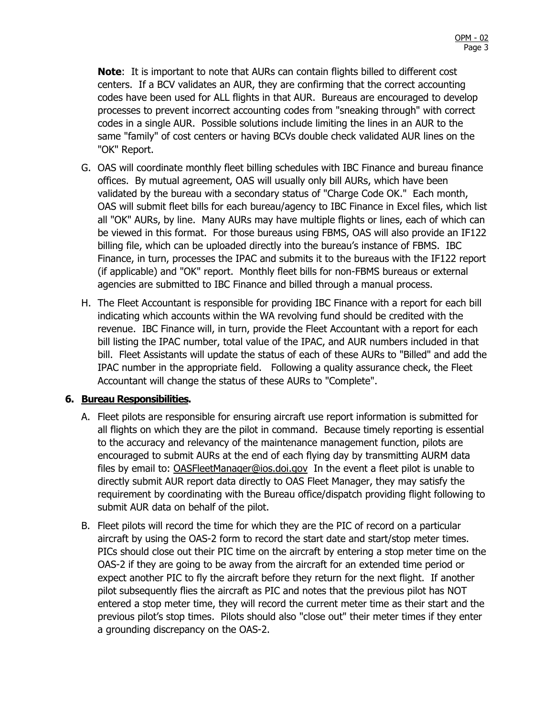**Note**: It is important to note that AURs can contain flights billed to different cost centers. If a BCV validates an AUR, they are confirming that the correct accounting codes have been used for ALL flights in that AUR. Bureaus are encouraged to develop processes to prevent incorrect accounting codes from "sneaking through" with correct codes in a single AUR. Possible solutions include limiting the lines in an AUR to the same "family" of cost centers or having BCVs double check validated AUR lines on the "OK" Report.

- G. OAS will coordinate monthly fleet billing schedules with IBC Finance and bureau finance offices. By mutual agreement, OAS will usually only bill AURs, which have been validated by the bureau with a secondary status of "Charge Code OK." Each month, OAS will submit fleet bills for each bureau/agency to IBC Finance in Excel files, which list all "OK" AURs, by line. Many AURs may have multiple flights or lines, each of which can be viewed in this format. For those bureaus using FBMS, OAS will also provide an IF122 billing file, which can be uploaded directly into the bureau's instance of FBMS. IBC Finance, in turn, processes the IPAC and submits it to the bureaus with the IF122 report (if applicable) and "OK" report. Monthly fleet bills for non-FBMS bureaus or external agencies are submitted to IBC Finance and billed through a manual process.
- H. The Fleet Accountant is responsible for providing IBC Finance with a report for each bill indicating which accounts within the WA revolving fund should be credited with the revenue. IBC Finance will, in turn, provide the Fleet Accountant with a report for each bill listing the IPAC number, total value of the IPAC, and AUR numbers included in that bill. Fleet Assistants will update the status of each of these AURs to "Billed" and add the IPAC number in the appropriate field. Following a quality assurance check, the Fleet Accountant will change the status of these AURs to "Complete".

#### **6. Bureau Responsibilities.**

- A. Fleet pilots are responsible for ensuring aircraft use report information is submitted for all flights on which they are the pilot in command. Because timely reporting is essential to the accuracy and relevancy of the maintenance management function, pilots are encouraged to submit AURs at the end of each flying day by transmitting AURM data files by email to: [OASFleetManager@ios.doi.gov](mailto:OASFleetManager@ios.doi.gov) In the event a fleet pilot is unable to directly submit AUR report data directly to OAS Fleet Manager, they may satisfy the requirement by coordinating with the Bureau office/dispatch providing flight following to submit AUR data on behalf of the pilot.
- B. Fleet pilots will record the time for which they are the PIC of record on a particular aircraft by using the OAS-2 form to record the start date and start/stop meter times. PICs should close out their PIC time on the aircraft by entering a stop meter time on the OAS-2 if they are going to be away from the aircraft for an extended time period or expect another PIC to fly the aircraft before they return for the next flight. If another pilot subsequently flies the aircraft as PIC and notes that the previous pilot has NOT entered a stop meter time, they will record the current meter time as their start and the previous pilot's stop times. Pilots should also "close out" their meter times if they enter a grounding discrepancy on the OAS-2.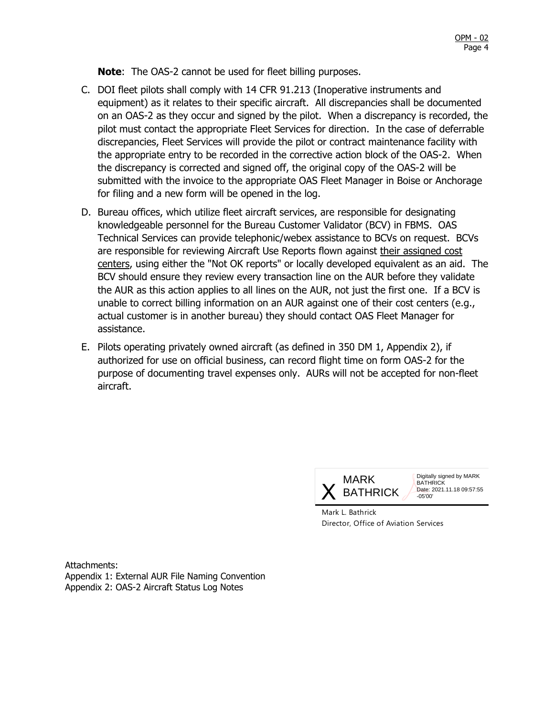**Note**: The OAS-2 cannot be used for fleet billing purposes.

- C. DOI fleet pilots shall comply with 14 CFR 91.213 (Inoperative instruments and equipment) as it relates to their specific aircraft. All discrepancies shall be documented on an OAS-2 as they occur and signed by the pilot. When a discrepancy is recorded, the pilot must contact the appropriate Fleet Services for direction. In the case of deferrable discrepancies, Fleet Services will provide the pilot or contract maintenance facility with the appropriate entry to be recorded in the corrective action block of the OAS-2. When the discrepancy is corrected and signed off, the original copy of the OAS-2 will be submitted with the invoice to the appropriate OAS Fleet Manager in Boise or Anchorage for filing and a new form will be opened in the log.
- D. Bureau offices, which utilize fleet aircraft services, are responsible for designating knowledgeable personnel for the Bureau Customer Validator (BCV) in FBMS. OAS Technical Services can provide telephonic/webex assistance to BCVs on request. BCVs are responsible for reviewing Aircraft Use Reports flown against their assigned cost centers, using either the "Not OK reports" or locally developed equivalent as an aid. The BCV should ensure they review every transaction line on the AUR before they validate the AUR as this action applies to all lines on the AUR, not just the first one. If a BCV is unable to correct billing information on an AUR against one of their cost centers (e.g., actual customer is in another bureau) they should contact OAS Fleet Manager for assistance.
- E. Pilots operating privately owned aircraft (as defined in 350 DM 1, Appendix 2), if authorized for use on official business, can record flight time on form OAS-2 for the purpose of documenting travel expenses only. AURs will not be accepted for non-fleet aircraft.



Mark L. Bathrick Director, Office of Aviation Services

Attachments: Appendix 1: External AUR File Naming Convention Appendix 2: OAS-2 Aircraft Status Log Notes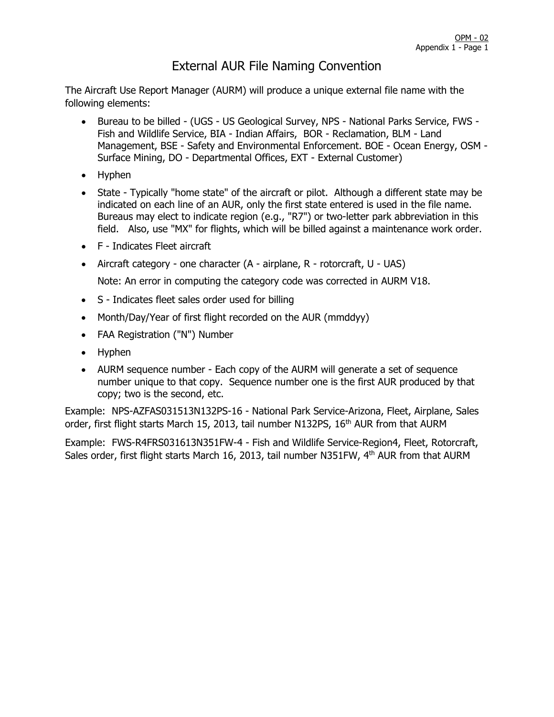# External AUR File Naming Convention

The Aircraft Use Report Manager (AURM) will produce a unique external file name with the following elements:

- Bureau to be billed (UGS US Geological Survey, NPS National Parks Service, FWS Fish and Wildlife Service, BIA - Indian Affairs, BOR - Reclamation, BLM - Land Management, BSE - Safety and Environmental Enforcement. BOE - Ocean Energy, OSM - Surface Mining, DO - Departmental Offices, EXT - External Customer)
- Hyphen
- State Typically "home state" of the aircraft or pilot. Although a different state may be indicated on each line of an AUR, only the first state entered is used in the file name. Bureaus may elect to indicate region (e.g., "R7") or two-letter park abbreviation in this field. Also, use "MX" for flights, which will be billed against a maintenance work order.
- F Indicates Fleet aircraft
- Aircraft category one character (A airplane, R rotorcraft, U UAS)

Note: An error in computing the category code was corrected in AURM V18.

- S Indicates fleet sales order used for billing
- Month/Day/Year of first flight recorded on the AUR (mmddyy)
- FAA Registration ("N") Number
- Hyphen
- AURM sequence number Each copy of the AURM will generate a set of sequence number unique to that copy. Sequence number one is the first AUR produced by that copy; two is the second, etc.

Example: NPS-AZFAS031513N132PS-16 - National Park Service-Arizona, Fleet, Airplane, Sales order, first flight starts March 15, 2013, tail number N132PS, 16<sup>th</sup> AUR from that AURM

Example: FWS-R4FRS031613N351FW-4 - Fish and Wildlife Service-Region4, Fleet, Rotorcraft, Sales order, first flight starts March 16, 2013, tail number N351FW, 4<sup>th</sup> AUR from that AURM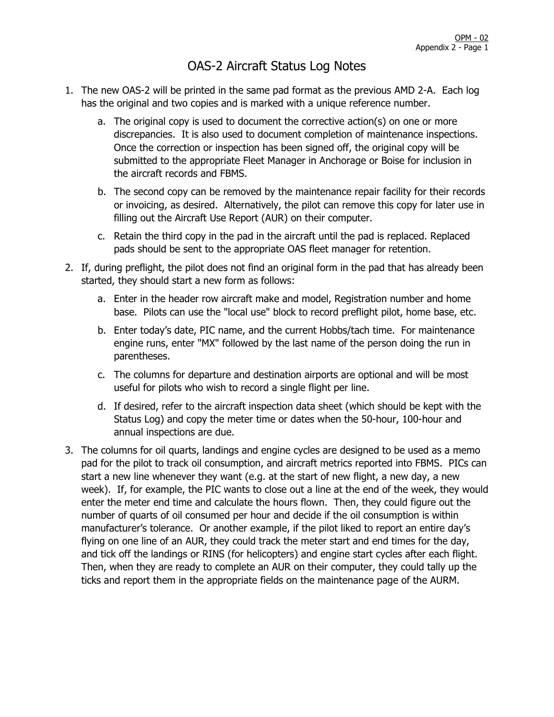# OAS-2 Aircraft Status Log Notes

- 1. The new OAS-2 will be printed in the same pad format as the previous AMD 2-A. Each log has the original and two copies and is marked with a unique reference number.
	- a. The original copy is used to document the corrective action(s) on one or more discrepancies. It is also used to document completion of maintenance inspections. Once the correction or inspection has been signed off, the original copy will be submitted to the appropriate Fleet Manager in Anchorage or Boise for inclusion in the aircraft records and FBMS.
	- b. The second copy can be removed by the maintenance repair facility for their records or invoicing, as desired. Alternatively, the pilot can remove this copy for later use in filling out the Aircraft Use Report (AUR) on their computer.
	- c. Retain the third copy in the pad in the aircraft until the pad is replaced. Replaced pads should be sent to the appropriate OAS fleet manager for retention.
- 2. If, during preflight, the pilot does not find an original form in the pad that has already been started, they should start a new form as follows:
	- a. Enter in the header row aircraft make and model, Registration number and home base. Pilots can use the "local use" block to record preflight pilot, home base, etc.
	- b. Enter today's date, PIC name, and the current Hobbs/tach time. For maintenance engine runs, enter "MX" followed by the last name of the person doing the run in parentheses.
	- c. The columns for departure and destination airports are optional and will be most useful for pilots who wish to record a single flight per line.
	- d. If desired, refer to the aircraft inspection data sheet (which should be kept with the Status Log) and copy the meter time or dates when the 50-hour, 100-hour and annual inspections are due.
- 3. The columns for oil quarts, landings and engine cycles are designed to be used as a memo pad for the pilot to track oil consumption, and aircraft metrics reported into FBMS. PICs can start a new line whenever they want (e.g. at the start of new flight, a new day, a new week). If, for example, the PIC wants to close out a line at the end of the week, they would enter the meter end time and calculate the hours flown. Then, they could figure out the number of quarts of oil consumed per hour and decide if the oil consumption is within manufacturer's tolerance. Or another example, if the pilot liked to report an entire day's flying on one line of an AUR, they could track the meter start and end times for the day, and tick off the landings or RINS (for helicopters) and engine start cycles after each flight. Then, when they are ready to complete an AUR on their computer, they could tally up the ticks and report them in the appropriate fields on the maintenance page of the AURM.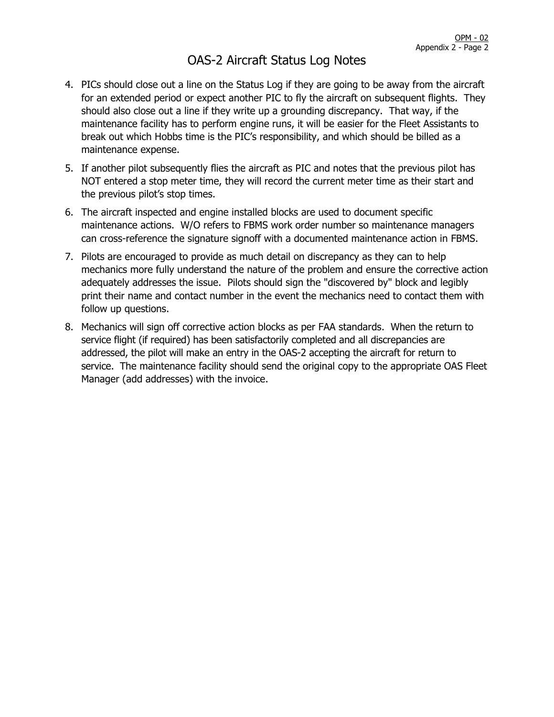## OAS-2 Aircraft Status Log Notes

- 4. PICs should close out a line on the Status Log if they are going to be away from the aircraft for an extended period or expect another PIC to fly the aircraft on subsequent flights. They should also close out a line if they write up a grounding discrepancy. That way, if the maintenance facility has to perform engine runs, it will be easier for the Fleet Assistants to break out which Hobbs time is the PIC's responsibility, and which should be billed as a maintenance expense.
- 5. If another pilot subsequently flies the aircraft as PIC and notes that the previous pilot has NOT entered a stop meter time, they will record the current meter time as their start and the previous pilot's stop times.
- 6. The aircraft inspected and engine installed blocks are used to document specific maintenance actions. W/O refers to FBMS work order number so maintenance managers can cross-reference the signature signoff with a documented maintenance action in FBMS.
- 7. Pilots are encouraged to provide as much detail on discrepancy as they can to help mechanics more fully understand the nature of the problem and ensure the corrective action adequately addresses the issue. Pilots should sign the "discovered by" block and legibly print their name and contact number in the event the mechanics need to contact them with follow up questions.
- 8. Mechanics will sign off corrective action blocks as per FAA standards. When the return to service flight (if required) has been satisfactorily completed and all discrepancies are addressed, the pilot will make an entry in the OAS-2 accepting the aircraft for return to service. The maintenance facility should send the original copy to the appropriate OAS Fleet Manager (add addresses) with the invoice.